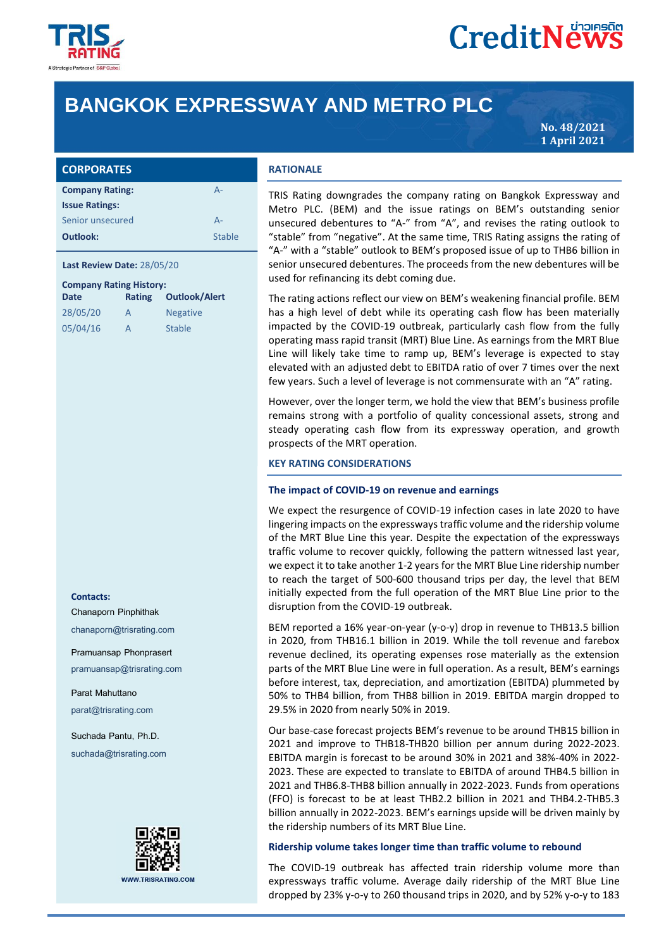

# **CreditNews**

# **BANGKOK EXPRESSWAY AND METRO PLC**

**No. 48/2021 1 April 2021**

|  |  | <b>CORPORATES</b> |
|--|--|-------------------|
|  |  |                   |
|  |  |                   |

| <b>Company Rating:</b> | Д-     |
|------------------------|--------|
| <b>Issue Ratings:</b>  |        |
| Senior unsecured       | A-     |
| Outlook:               | Stable |

### **Last Review Date:** 28/05/20

| <b>Company Rating History:</b> |        |                      |  |  |  |
|--------------------------------|--------|----------------------|--|--|--|
| <b>Date</b>                    | Rating | <b>Outlook/Alert</b> |  |  |  |
| 28/05/20                       | А      | <b>Negative</b>      |  |  |  |
| 05/04/16                       | А      | <b>Stable</b>        |  |  |  |

#### **Contacts:**

Chanaporn Pinphithak

chanaporn@trisrating.com

#### Pramuansap Phonprasert

pramuansap@trisrating.com

Parat Mahuttano parat@trisrating.com

Suchada Pantu, Ph.D. suchada@trisrating.com



# **RATIONALE**

TRIS Rating downgrades the company rating on Bangkok Expressway and Metro PLC. (BEM) and the issue ratings on BEM's outstanding senior unsecured debentures to "A-" from "A", and revises the rating outlook to "stable" from "negative". At the same time, TRIS Rating assigns the rating of "A-" with a "stable" outlook to BEM's proposed issue of up to THB6 billion in senior unsecured debentures. The proceeds from the new debentures will be used for refinancing its debt coming due.

The rating actions reflect our view on BEM's weakening financial profile. BEM has a high level of debt while its operating cash flow has been materially impacted by the COVID-19 outbreak, particularly cash flow from the fully operating mass rapid transit (MRT) Blue Line. As earnings from the MRT Blue Line will likely take time to ramp up, BEM's leverage is expected to stay elevated with an adjusted debt to EBITDA ratio of over 7 times over the next few years. Such a level of leverage is not commensurate with an "A" rating.

However, over the longer term, we hold the view that BEM's business profile remains strong with a portfolio of quality concessional assets, strong and steady operating cash flow from its expressway operation, and growth prospects of the MRT operation.

#### **KEY RATING CONSIDERATIONS**

#### **The impact of COVID-19 on revenue and earnings**

We expect the resurgence of COVID-19 infection cases in late 2020 to have lingering impacts on the expressways traffic volume and the ridership volume of the MRT Blue Line this year. Despite the expectation of the expressways traffic volume to recover quickly, following the pattern witnessed last year, we expect it to take another 1-2 years for the MRT Blue Line ridership number to reach the target of 500-600 thousand trips per day, the level that BEM initially expected from the full operation of the MRT Blue Line prior to the disruption from the COVID-19 outbreak.

BEM reported a 16% year-on-year (y-o-y) drop in revenue to THB13.5 billion in 2020, from THB16.1 billion in 2019. While the toll revenue and farebox revenue declined, its operating expenses rose materially as the extension parts of the MRT Blue Line were in full operation. As a result, BEM's earnings before interest, tax, depreciation, and amortization (EBITDA) plummeted by 50% to THB4 billion, from THB8 billion in 2019. EBITDA margin dropped to 29.5% in 2020 from nearly 50% in 2019.

Our base-case forecast projects BEM's revenue to be around THB15 billion in 2021 and improve to THB18-THB20 billion per annum during 2022-2023. EBITDA margin is forecast to be around 30% in 2021 and 38%-40% in 2022- 2023. These are expected to translate to EBITDA of around THB4.5 billion in 2021 and THB6.8-THB8 billion annually in 2022-2023. Funds from operations (FFO) is forecast to be at least THB2.2 billion in 2021 and THB4.2-THB5.3 billion annually in 2022-2023. BEM's earnings upside will be driven mainly by the ridership numbers of its MRT Blue Line.

### **Ridership volume takes longer time than traffic volume to rebound**

The COVID-19 outbreak has affected train ridership volume more than expressways traffic volume. Average daily ridership of the MRT Blue Line dropped by 23% y-o-y to 260 thousand trips in 2020, and by 52% y-o-y to 183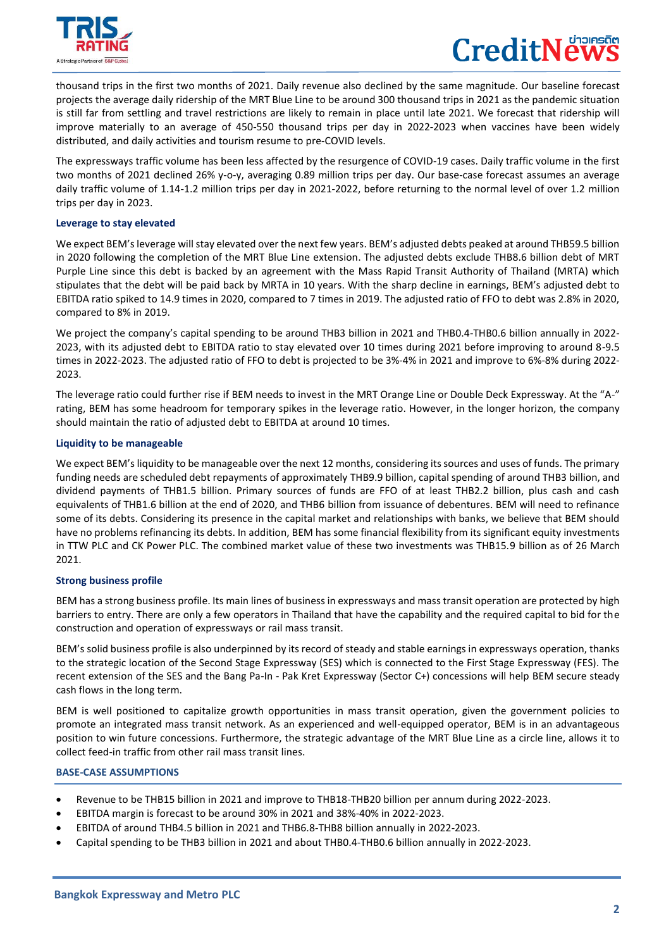

 $\overline{a}$ 

# CreditNe

thousand trips in the first two months of 2021. Daily revenue also declined by the same magnitude. Our baseline forecast projects the average daily ridership of the MRT Blue Line to be around 300 thousand trips in 2021 as the pandemic situation is still far from settling and travel restrictions are likely to remain in place until late 2021. We forecast that ridership will improve materially to an average of 450-550 thousand trips per day in 2022-2023 when vaccines have been widely distributed, and daily activities and tourism resume to pre-COVID levels.

The expressways traffic volume has been less affected by the resurgence of COVID-19 cases. Daily traffic volume in the first two months of 2021 declined 26% y-o-y, averaging 0.89 million trips per day. Our base-case forecast assumes an average daily traffic volume of 1.14-1.2 million trips per day in 2021-2022, before returning to the normal level of over 1.2 million trips per day in 2023.

### **Leverage to stay elevated**

We expect BEM's leverage will stay elevated over the next few years. BEM's adjusted debts peaked at around THB59.5 billion in 2020 following the completion of the MRT Blue Line extension. The adjusted debts exclude THB8.6 billion debt of MRT Purple Line since this debt is backed by an agreement with the Mass Rapid Transit Authority of Thailand (MRTA) which stipulates that the debt will be paid back by MRTA in 10 years. With the sharp decline in earnings, BEM's adjusted debt to EBITDA ratio spiked to 14.9 times in 2020, compared to 7 times in 2019. The adjusted ratio of FFO to debt was 2.8% in 2020, compared to 8% in 2019.

We project the company's capital spending to be around THB3 billion in 2021 and THB0.4-THB0.6 billion annually in 2022- 2023, with its adjusted debt to EBITDA ratio to stay elevated over 10 times during 2021 before improving to around 8-9.5 times in 2022-2023. The adjusted ratio of FFO to debt is projected to be 3%-4% in 2021 and improve to 6%-8% during 2022- 2023.

The leverage ratio could further rise if BEM needs to invest in the MRT Orange Line or Double Deck Expressway. At the "A-" rating, BEM has some headroom for temporary spikes in the leverage ratio. However, in the longer horizon, the company should maintain the ratio of adjusted debt to EBITDA at around 10 times.

# **Liquidity to be manageable**

We expect BEM's liquidity to be manageable over the next 12 months, considering its sources and uses of funds. The primary funding needs are scheduled debt repayments of approximately THB9.9 billion, capital spending of around THB3 billion, and dividend payments of THB1.5 billion. Primary sources of funds are FFO of at least THB2.2 billion, plus cash and cash equivalents of THB1.6 billion at the end of 2020, and THB6 billion from issuance of debentures. BEM will need to refinance some of its debts. Considering its presence in the capital market and relationships with banks, we believe that BEM should have no problems refinancing its debts. In addition, BEM has some financial flexibility from its significant equity investments in TTW PLC and CK Power PLC. The combined market value of these two investments was THB15.9 billion as of 26 March 2021.

# **Strong business profile**

BEM has a strong business profile. Its main lines of business in expressways and mass transit operation are protected by high barriers to entry. There are only a few operators in Thailand that have the capability and the required capital to bid for the construction and operation of expressways or rail mass transit.

BEM's solid business profile is also underpinned by its record of steady and stable earnings in expressways operation, thanks to the strategic location of the Second Stage Expressway (SES) which is connected to the First Stage Expressway (FES). The recent extension of the SES and the Bang Pa-In - Pak Kret Expressway (Sector C+) concessions will help BEM secure steady cash flows in the long term.

BEM is well positioned to capitalize growth opportunities in mass transit operation, given the government policies to promote an integrated mass transit network. As an experienced and well-equipped operator, BEM is in an advantageous position to win future concessions. Furthermore, the strategic advantage of the MRT Blue Line as a circle line, allows it to collect feed-in traffic from other rail mass transit lines.

# **BASE-CASE ASSUMPTIONS**

- Revenue to be THB15 billion in 2021 and improve to THB18-THB20 billion per annum during 2022-2023.
- EBITDA margin is forecast to be around 30% in 2021 and 38%-40% in 2022-2023.
- EBITDA of around THB4.5 billion in 2021 and THB6.8-THB8 billion annually in 2022-2023.
- Capital spending to be THB3 billion in 2021 and about THB0.4-THB0.6 billion annually in 2022-2023.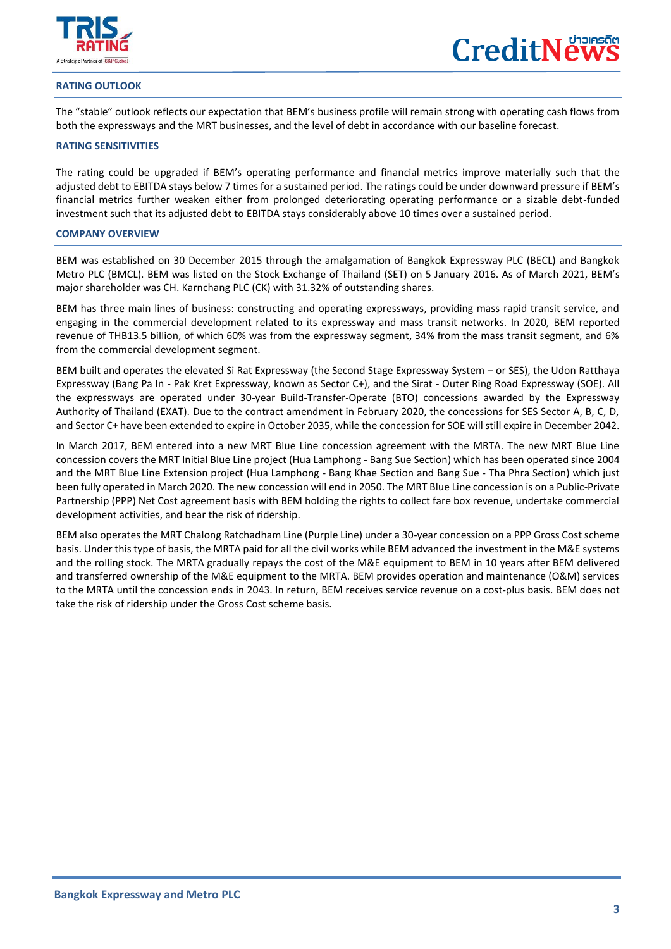

 $\overline{a}$ 

## **RATING OUTLOOK**

The "stable" outlook reflects our expectation that BEM's business profile will remain strong with operating cash flows from both the expressways and the MRT businesses, and the level of debt in accordance with our baseline forecast.

### **RATING SENSITIVITIES**

The rating could be upgraded if BEM's operating performance and financial metrics improve materially such that the adjusted debt to EBITDA stays below 7 times for a sustained period. The ratings could be under downward pressure if BEM's financial metrics further weaken either from prolonged deteriorating operating performance or a sizable debt-funded investment such that its adjusted debt to EBITDA stays considerably above 10 times over a sustained period.

### **COMPANY OVERVIEW**

BEM was established on 30 December 2015 through the amalgamation of Bangkok Expressway PLC (BECL) and Bangkok Metro PLC (BMCL). BEM was listed on the Stock Exchange of Thailand (SET) on 5 January 2016. As of March 2021, BEM's major shareholder was CH. Karnchang PLC (CK) with 31.32% of outstanding shares.

BEM has three main lines of business: constructing and operating expressways, providing mass rapid transit service, and engaging in the commercial development related to its expressway and mass transit networks. In 2020, BEM reported revenue of THB13.5 billion, of which 60% was from the expressway segment, 34% from the mass transit segment, and 6% from the commercial development segment.

BEM built and operates the elevated Si Rat Expressway (the Second Stage Expressway System – or SES), the Udon Ratthaya Expressway (Bang Pa In - Pak Kret Expressway, known as Sector C+), and the Sirat - Outer Ring Road Expressway (SOE). All the expressways are operated under 30-year Build-Transfer-Operate (BTO) concessions awarded by the Expressway Authority of Thailand (EXAT). Due to the contract amendment in February 2020, the concessions for SES Sector A, B, C, D, and Sector C+ have been extended to expire in October 2035, while the concession for SOE will still expire in December 2042.

In March 2017, BEM entered into a new MRT Blue Line concession agreement with the MRTA. The new MRT Blue Line concession covers the MRT Initial Blue Line project (Hua Lamphong - Bang Sue Section) which has been operated since 2004 and the MRT Blue Line Extension project (Hua Lamphong - Bang Khae Section and Bang Sue - Tha Phra Section) which just been fully operated in March 2020. The new concession will end in 2050. The MRT Blue Line concession is on a Public-Private Partnership (PPP) Net Cost agreement basis with BEM holding the rights to collect fare box revenue, undertake commercial development activities, and bear the risk of ridership.

BEM also operates the MRT Chalong Ratchadham Line (Purple Line) under a 30-year concession on a PPP Gross Cost scheme basis. Under this type of basis, the MRTA paid for all the civil works while BEM advanced the investment in the M&E systems and the rolling stock. The MRTA gradually repays the cost of the M&E equipment to BEM in 10 years after BEM delivered and transferred ownership of the M&E equipment to the MRTA. BEM provides operation and maintenance (O&M) services to the MRTA until the concession ends in 2043. In return, BEM receives service revenue on a cost-plus basis. BEM does not take the risk of ridership under the Gross Cost scheme basis.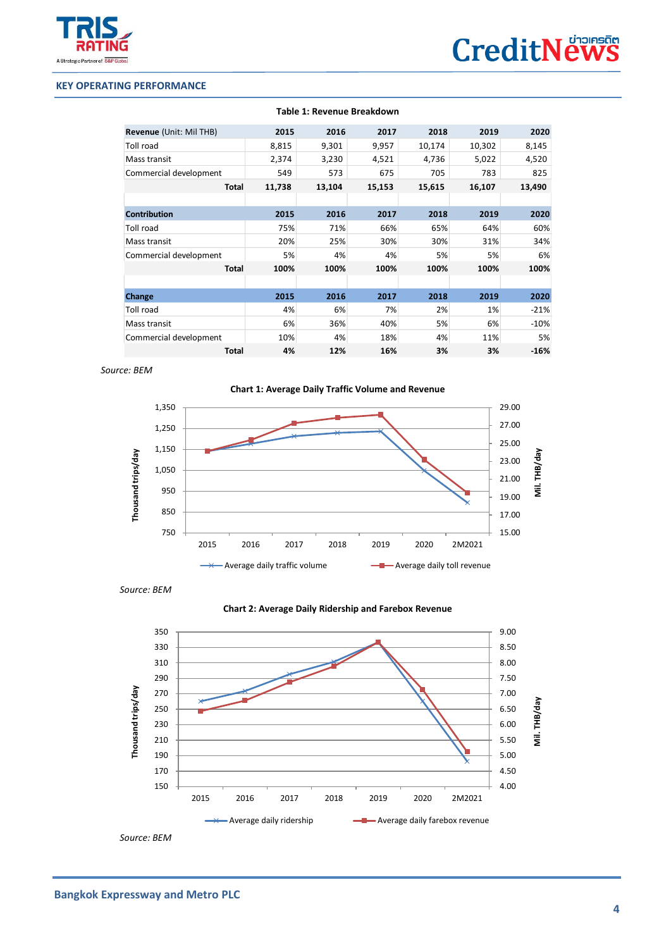

# **KEY OPERATING PERFORMANCE**

 $\overline{a}$ 

|                         |        |        | Table 1: Revenue Breakdown |        |        |        |
|-------------------------|--------|--------|----------------------------|--------|--------|--------|
| Revenue (Unit: Mil THB) | 2015   | 2016   | 2017                       | 2018   | 2019   | 2020   |
| Toll road               | 8,815  | 9,301  | 9,957                      | 10,174 | 10,302 | 8,145  |
| Mass transit            | 2,374  | 3,230  | 4,521                      | 4,736  | 5,022  | 4,520  |
| Commercial development  | 549    | 573    | 675                        | 705    | 783    | 825    |
| <b>Total</b>            | 11,738 | 13,104 | 15,153                     | 15,615 | 16,107 | 13,490 |
|                         |        |        |                            |        |        |        |
| <b>Contribution</b>     | 2015   | 2016   | 2017                       | 2018   | 2019   | 2020   |
| Toll road               | 75%    | 71%    | 66%                        | 65%    | 64%    | 60%    |
| Mass transit            | 20%    | 25%    | 30%                        | 30%    | 31%    | 34%    |
| Commercial development  | 5%     | 4%     | 4%                         | 5%     | 5%     | 6%     |
| <b>Total</b>            | 100%   | 100%   | 100%                       | 100%   | 100%   | 100%   |
|                         |        |        |                            |        |        |        |
| Change                  | 2015   | 2016   | 2017                       | 2018   | 2019   | 2020   |
| Toll road               | 4%     | 6%     | 7%                         | 2%     | 1%     | $-21%$ |
| Mass transit            | 6%     | 36%    | 40%                        | 5%     | 6%     | $-10%$ |
| Commercial development  | 10%    | 4%     | 18%                        | 4%     | 11%    | 5%     |
| Total                   | 4%     | 12%    | 16%                        | 3%     | 3%     | $-16%$ |

 *Source: BEM*







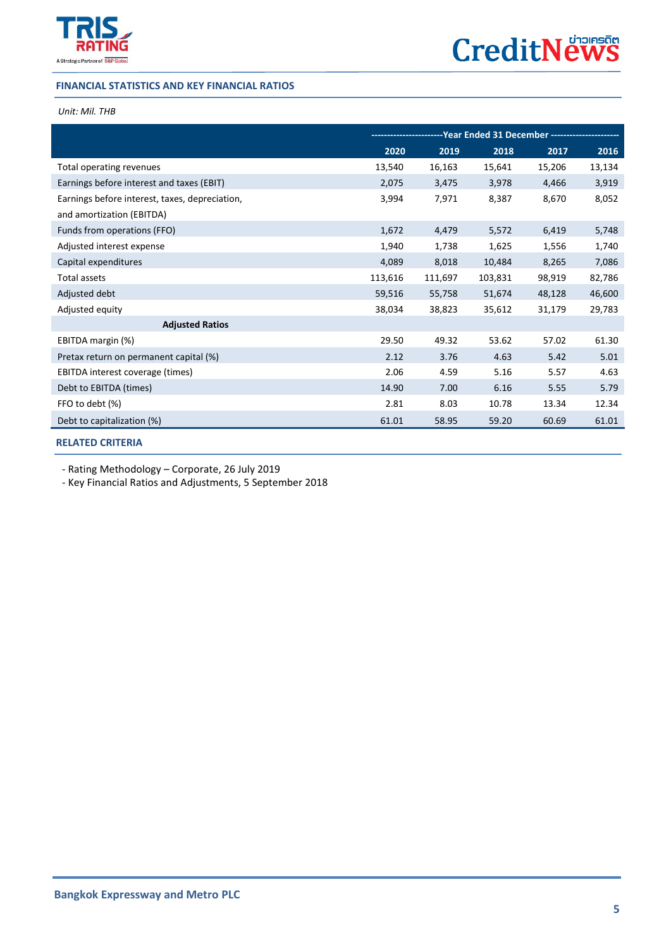

# **FINANCIAL STATISTICS AND KEY FINANCIAL RATIOS**

# *Unit: Mil. THB*

 $\overline{a}$ 

|                                                | --Year Ended 31 December ---------------<br>-------------- |         |         |        |        |
|------------------------------------------------|------------------------------------------------------------|---------|---------|--------|--------|
|                                                | 2020                                                       | 2019    | 2018    | 2017   | 2016   |
| Total operating revenues                       | 13,540                                                     | 16,163  | 15,641  | 15,206 | 13,134 |
| Earnings before interest and taxes (EBIT)      | 2,075                                                      | 3,475   | 3,978   | 4,466  | 3,919  |
| Earnings before interest, taxes, depreciation, | 3,994                                                      | 7,971   | 8,387   | 8,670  | 8,052  |
| and amortization (EBITDA)                      |                                                            |         |         |        |        |
| Funds from operations (FFO)                    | 1,672                                                      | 4,479   | 5,572   | 6,419  | 5,748  |
| Adjusted interest expense                      | 1,940                                                      | 1,738   | 1,625   | 1,556  | 1,740  |
| Capital expenditures                           | 4,089                                                      | 8,018   | 10,484  | 8,265  | 7,086  |
| Total assets                                   | 113,616                                                    | 111,697 | 103,831 | 98,919 | 82,786 |
| Adjusted debt                                  | 59,516                                                     | 55,758  | 51,674  | 48,128 | 46,600 |
| Adjusted equity                                | 38,034                                                     | 38,823  | 35,612  | 31,179 | 29,783 |
| <b>Adjusted Ratios</b>                         |                                                            |         |         |        |        |
| EBITDA margin (%)                              | 29.50                                                      | 49.32   | 53.62   | 57.02  | 61.30  |
| Pretax return on permanent capital (%)         | 2.12                                                       | 3.76    | 4.63    | 5.42   | 5.01   |
| EBITDA interest coverage (times)               | 2.06                                                       | 4.59    | 5.16    | 5.57   | 4.63   |
| Debt to EBITDA (times)                         | 14.90                                                      | 7.00    | 6.16    | 5.55   | 5.79   |
| FFO to debt (%)                                | 2.81                                                       | 8.03    | 10.78   | 13.34  | 12.34  |
| Debt to capitalization (%)                     | 61.01                                                      | 58.95   | 59.20   | 60.69  | 61.01  |

**[RELATED CRITERIA](https://www.trisrating.com/rating-information/rating-criteria/)**

- Rating Methodology – Corporate, 26 July 2019

- Key Financial Ratios and Adjustments, 5 September 2018